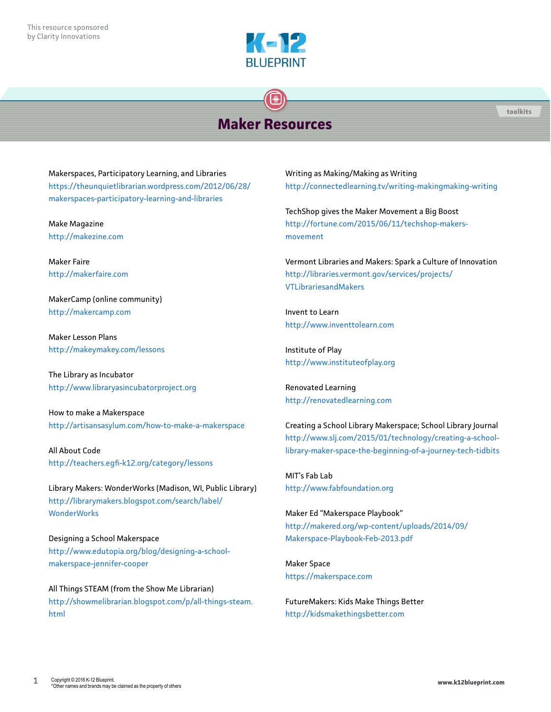

# **Maker Resources**

Makerspaces, Participatory Learning, and Libraries [https://theunquietlibrarian.wordpress.com/2012/06/28/](https://theunquietlibrarian.wordpress.com/2012/06/28/makerspaces-participatory-learning-and-librarie) [makerspaces-participatory-learning-and-libraries](https://theunquietlibrarian.wordpress.com/2012/06/28/makerspaces-participatory-learning-and-librarie)

Make Magazine <http://makezine.com>

Maker Faire <http://makerfaire.com>

MakerCamp (online community) <http://makercamp.com>

Maker Lesson Plans <http://makeymakey.com/lessons>

The Library as Incubator <http://www.libraryasincubatorproject.org>

How to make a Makerspace [http://artisansasylum.com/how-](http://artisansasylum.com/how-to-make-a-makerspace)to-make-a-makerspace

All About Code <http://teachers.egfi-k12.org/category/lessons>

Library Makers: WonderWorks (Madison, WI, Public Library) [http://librarymakers.blogspot.com/search/label/](http://librarymakers.blogspot.com/search/label/WonderWorks) **[WonderWorks](http://librarymakers.blogspot.com/search/label/WonderWorks)** 

Designing a School Makerspace [http://www.edutopia.org/blog/designing-](http://www.edutopia.org/blog/designing-a-school-makerspace-jennifer-cooper)a-schoolmakerspace-jennifer-cooper

All Things STEAM (from the Show Me Librarian) [http://showmelibrarian.blogspot.com/p/all-things-steam.](http://showmelibrarian.blogspot.com/p/all-things-steam.html) [html](http://showmelibrarian.blogspot.com/p/all-things-steam.html)

Writing as Making/Making as Writing [http://connectedlearning.tv/writing-](http://connectedlearning.tv/writing-makingmaking-writing)makingmaking-writing

TechShop gives the Maker Movement a Big Boost [http://fortune.com/2015/06/11/techshop-](http://fortune.com/2015/06/11/techshop-makers-movement)makersmovement

Vermont Libraries and Makers: Spark a Culture of Innovation [http://libraries.vermont.gov/services/projects/](http://libraries.vermont.gov/services/projects/VTLibrariesandMakers) [VTLibrariesandMakers](http://libraries.vermont.gov/services/projects/VTLibrariesandMakers)

Invent to Learn <http://www.inventtolearn.com>

Institute of Play <http://www.instituteofplay.org>

Renovated Learning <http://renovatedlearning.com>

Creating a School Library Makerspace; School Library Journal [http://www.slj.com/2015/01/technology/creating-](http://www.slj.com/2015/01/technology/creating-a-school-library-maker-space-the-beginning-of-a-journey-tech-tidbits)a-schoollibrary-maker-space-the-beginning-of-a-journey-tech-tidbits

MIT's Fab Lab <http://www.fabfoundation.org>

Maker Ed "Makerspace Playbook" [http://makered.org/wp-content/uploads/2014/09/](http://makered.org/wp-content/uploads/2014/09/Makerspace-Playbook-Feb-2013.pdf) [Makerspace-Playbook-Feb-2013.pdf](http://makered.org/wp-content/uploads/2014/09/Makerspace-Playbook-Feb-2013.pdf)

Maker Space <https://makerspace.com>

FutureMakers: Kids Make Things Better <http://kidsmakethingsbetter.com>